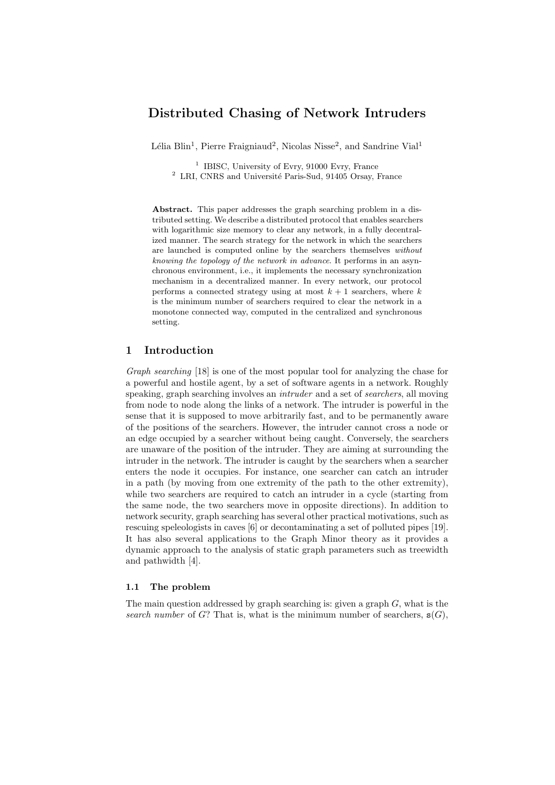# Distributed Chasing of Network Intruders

Lélia Blin<sup>1</sup>, Pierre Fraigniaud<sup>2</sup>, Nicolas Nisse<sup>2</sup>, and Sandrine Vial<sup>1</sup>

<sup>1</sup> IBISC, University of Evry, 91000 Evry, France  $^2\,$  LRI, CNRS and Université Paris-Sud, 91405 Orsay, France

Abstract. This paper addresses the graph searching problem in a distributed setting. We describe a distributed protocol that enables searchers with logarithmic size memory to clear any network, in a fully decentralized manner. The search strategy for the network in which the searchers are launched is computed online by the searchers themselves without knowing the topology of the network in advance. It performs in an asynchronous environment, i.e., it implements the necessary synchronization mechanism in a decentralized manner. In every network, our protocol performs a connected strategy using at most  $k + 1$  searchers, where  $k$ is the minimum number of searchers required to clear the network in a monotone connected way, computed in the centralized and synchronous setting.

## 1 Introduction

Graph searching [18] is one of the most popular tool for analyzing the chase for a powerful and hostile agent, by a set of software agents in a network. Roughly speaking, graph searching involves an *intruder* and a set of *searchers*, all moving from node to node along the links of a network. The intruder is powerful in the sense that it is supposed to move arbitrarily fast, and to be permanently aware of the positions of the searchers. However, the intruder cannot cross a node or an edge occupied by a searcher without being caught. Conversely, the searchers are unaware of the position of the intruder. They are aiming at surrounding the intruder in the network. The intruder is caught by the searchers when a searcher enters the node it occupies. For instance, one searcher can catch an intruder in a path (by moving from one extremity of the path to the other extremity), while two searchers are required to catch an intruder in a cycle (starting from the same node, the two searchers move in opposite directions). In addition to network security, graph searching has several other practical motivations, such as rescuing speleologists in caves [6] or decontaminating a set of polluted pipes [19]. It has also several applications to the Graph Minor theory as it provides a dynamic approach to the analysis of static graph parameters such as treewidth and pathwidth [4].

#### 1.1 The problem

The main question addressed by graph searching is: given a graph  $G$ , what is the search number of G? That is, what is the minimum number of searchers,  $s(G)$ ,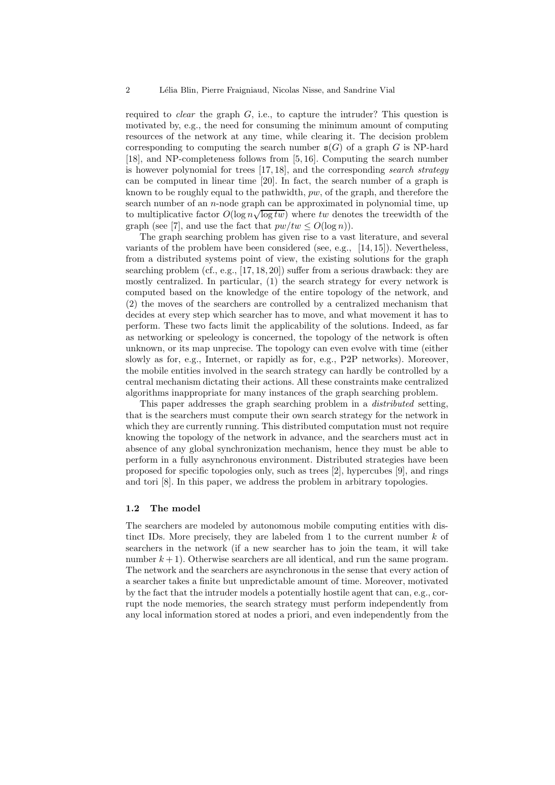required to *clear* the graph  $G$ , i.e., to capture the intruder? This question is motivated by, e.g., the need for consuming the minimum amount of computing resources of the network at any time, while clearing it. The decision problem corresponding to computing the search number  $s(G)$  of a graph G is NP-hard [18], and NP-completeness follows from [5, 16]. Computing the search number is however polynomial for trees [17, 18], and the corresponding *search strategy* can be computed in linear time [20]. In fact, the search number of a graph is known to be roughly equal to the pathwidth,  $pw$ , of the graph, and therefore the search number of an  $n$ -node graph can be approximated in polynomial time, up to multiplicative factor  $O(\log n\sqrt{\log tw})$  where tw denotes the treewidth of the graph (see [7], and use the fact that  $pw/tw \le O(\log n)$ ).

The graph searching problem has given rise to a vast literature, and several variants of the problem have been considered (see, e.g., [14, 15]). Nevertheless, from a distributed systems point of view, the existing solutions for the graph searching problem (cf., e.g., [17, 18, 20]) suffer from a serious drawback: they are mostly centralized. In particular, (1) the search strategy for every network is computed based on the knowledge of the entire topology of the network, and (2) the moves of the searchers are controlled by a centralized mechanism that decides at every step which searcher has to move, and what movement it has to perform. These two facts limit the applicability of the solutions. Indeed, as far as networking or speleology is concerned, the topology of the network is often unknown, or its map unprecise. The topology can even evolve with time (either slowly as for, e.g., Internet, or rapidly as for, e.g., P2P networks). Moreover, the mobile entities involved in the search strategy can hardly be controlled by a central mechanism dictating their actions. All these constraints make centralized algorithms inappropriate for many instances of the graph searching problem.

This paper addresses the graph searching problem in a distributed setting, that is the searchers must compute their own search strategy for the network in which they are currently running. This distributed computation must not require knowing the topology of the network in advance, and the searchers must act in absence of any global synchronization mechanism, hence they must be able to perform in a fully asynchronous environment. Distributed strategies have been proposed for specific topologies only, such as trees [2], hypercubes [9], and rings and tori [8]. In this paper, we address the problem in arbitrary topologies.

## 1.2 The model

The searchers are modeled by autonomous mobile computing entities with distinct IDs. More precisely, they are labeled from 1 to the current number  $k$  of searchers in the network (if a new searcher has to join the team, it will take number  $k+1$ ). Otherwise searchers are all identical, and run the same program. The network and the searchers are asynchronous in the sense that every action of a searcher takes a finite but unpredictable amount of time. Moreover, motivated by the fact that the intruder models a potentially hostile agent that can, e.g., corrupt the node memories, the search strategy must perform independently from any local information stored at nodes a priori, and even independently from the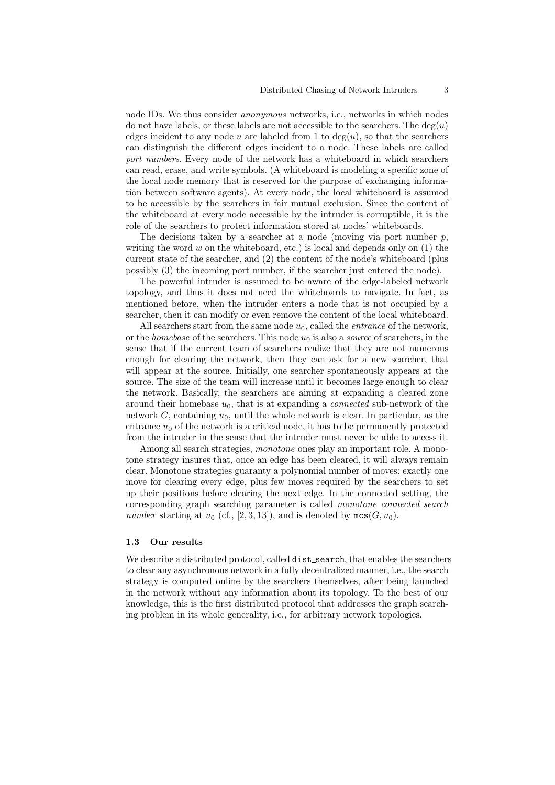node IDs. We thus consider *anonymous* networks, i.e., networks in which nodes do not have labels, or these labels are not accessible to the searchers. The  $deg(u)$ edges incident to any node u are labeled from 1 to  $deg(u)$ , so that the searchers can distinguish the different edges incident to a node. These labels are called port numbers. Every node of the network has a whiteboard in which searchers can read, erase, and write symbols. (A whiteboard is modeling a specific zone of the local node memory that is reserved for the purpose of exchanging information between software agents). At every node, the local whiteboard is assumed to be accessible by the searchers in fair mutual exclusion. Since the content of the whiteboard at every node accessible by the intruder is corruptible, it is the role of the searchers to protect information stored at nodes' whiteboards.

The decisions taken by a searcher at a node (moving via port number  $p$ , writing the word  $w$  on the whiteboard, etc.) is local and depends only on  $(1)$  the current state of the searcher, and (2) the content of the node's whiteboard (plus possibly (3) the incoming port number, if the searcher just entered the node).

The powerful intruder is assumed to be aware of the edge-labeled network topology, and thus it does not need the whiteboards to navigate. In fact, as mentioned before, when the intruder enters a node that is not occupied by a searcher, then it can modify or even remove the content of the local whiteboard.

All searchers start from the same node  $u_0$ , called the *entrance* of the network, or the *homebase* of the searchers. This node  $u_0$  is also a *source* of searchers, in the sense that if the current team of searchers realize that they are not numerous enough for clearing the network, then they can ask for a new searcher, that will appear at the source. Initially, one searcher spontaneously appears at the source. The size of the team will increase until it becomes large enough to clear the network. Basically, the searchers are aiming at expanding a cleared zone around their homebase  $u_0$ , that is at expanding a *connected* sub-network of the network G, containing  $u_0$ , until the whole network is clear. In particular, as the entrance  $u_0$  of the network is a critical node, it has to be permanently protected from the intruder in the sense that the intruder must never be able to access it.

Among all search strategies, *monotone* ones play an important role. A monotone strategy insures that, once an edge has been cleared, it will always remain clear. Monotone strategies guaranty a polynomial number of moves: exactly one move for clearing every edge, plus few moves required by the searchers to set up their positions before clearing the next edge. In the connected setting, the corresponding graph searching parameter is called monotone connected search number starting at  $u_0$  (cf., [2, 3, 13]), and is denoted by  $\mathsf{mcs}(G, u_0)$ .

#### 1.3 Our results

We describe a distributed protocol, called dist\_search, that enables the searchers to clear any asynchronous network in a fully decentralized manner, i.e., the search strategy is computed online by the searchers themselves, after being launched in the network without any information about its topology. To the best of our knowledge, this is the first distributed protocol that addresses the graph searching problem in its whole generality, i.e., for arbitrary network topologies.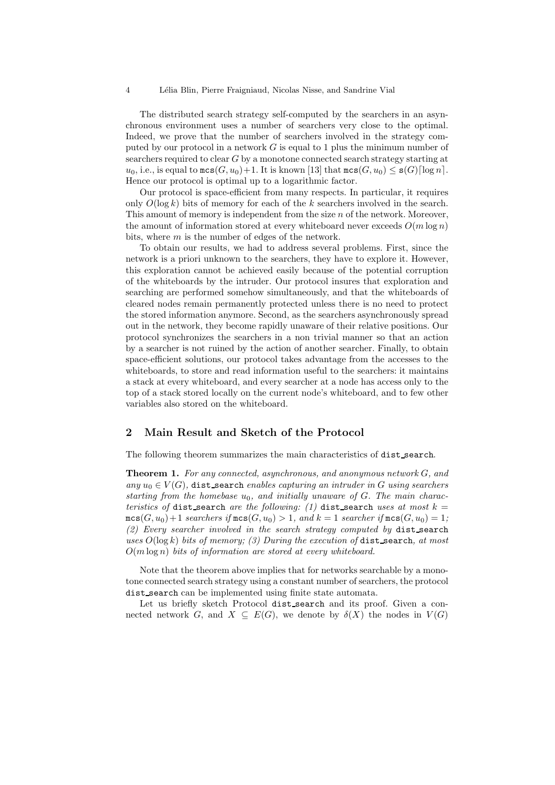The distributed search strategy self-computed by the searchers in an asynchronous environment uses a number of searchers very close to the optimal. Indeed, we prove that the number of searchers involved in the strategy computed by our protocol in a network  $G$  is equal to 1 plus the minimum number of searchers required to clear G by a monotone connected search strategy starting at  $u_0$ , i.e., is equal to  $\operatorname{mcs}(G, u_0) + 1$ . It is known [13] that  $\operatorname{mcs}(G, u_0) \leq s(G)$ [log n]. Hence our protocol is optimal up to a logarithmic factor.

Our protocol is space-efficient from many respects. In particular, it requires only  $O(\log k)$  bits of memory for each of the k searchers involved in the search. This amount of memory is independent from the size  $n$  of the network. Moreover, the amount of information stored at every whiteboard never exceeds  $O(m \log n)$ bits, where m is the number of edges of the network.

To obtain our results, we had to address several problems. First, since the network is a priori unknown to the searchers, they have to explore it. However, this exploration cannot be achieved easily because of the potential corruption of the whiteboards by the intruder. Our protocol insures that exploration and searching are performed somehow simultaneously, and that the whiteboards of cleared nodes remain permanently protected unless there is no need to protect the stored information anymore. Second, as the searchers asynchronously spread out in the network, they become rapidly unaware of their relative positions. Our protocol synchronizes the searchers in a non trivial manner so that an action by a searcher is not ruined by the action of another searcher. Finally, to obtain space-efficient solutions, our protocol takes advantage from the accesses to the whiteboards, to store and read information useful to the searchers: it maintains a stack at every whiteboard, and every searcher at a node has access only to the top of a stack stored locally on the current node's whiteboard, and to few other variables also stored on the whiteboard.

## 2 Main Result and Sketch of the Protocol

The following theorem summarizes the main characteristics of dist search.

**Theorem 1.** For any connected, asynchronous, and anonymous network  $G$ , and any  $u_0 \in V(G)$ , dist\_search enables capturing an intruder in G using searchers starting from the homebase  $u_0$ , and initially unaware of G. The main characteristics of dist search are the following: (1) dist search uses at most  $k =$  $\mathtt{mcs}(G, u_0) + 1$  searchers if  $\mathtt{mcs}(G, u_0) > 1$ , and  $k = 1$  searcher if  $\mathtt{mcs}(G, u_0) = 1$ ; (2) Every searcher involved in the search strategy computed by dist search uses  $O(\log k)$  bits of memory; (3) During the execution of dist\_search, at most  $O(m \log n)$  bits of information are stored at every whiteboard.

Note that the theorem above implies that for networks searchable by a monotone connected search strategy using a constant number of searchers, the protocol dist\_search can be implemented using finite state automata.

Let us briefly sketch Protocol dist\_search and its proof. Given a connected network G, and  $X \subseteq E(G)$ , we denote by  $\delta(X)$  the nodes in  $V(G)$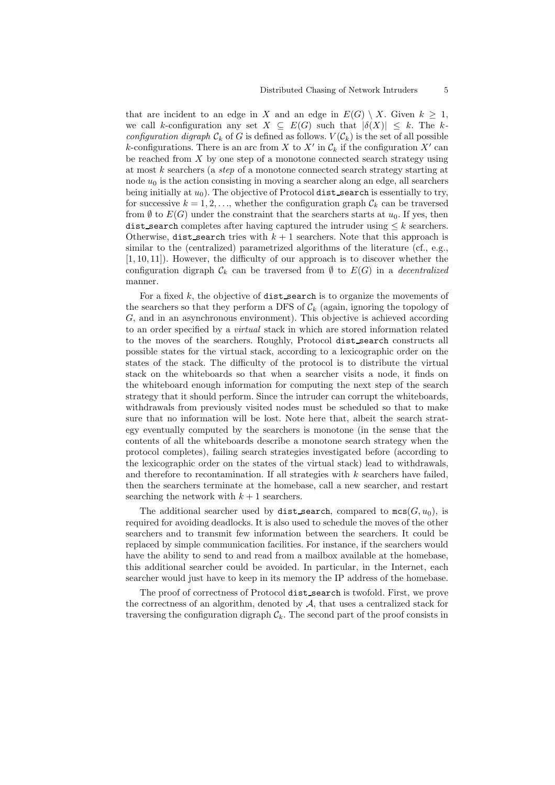that are incident to an edge in X and an edge in  $E(G) \setminus X$ . Given  $k \geq 1$ , we call k-configuration any set  $X \subseteq E(G)$  such that  $|\delta(X)| \leq k$ . The kconfiguration digraph  $\mathcal{C}_k$  of G is defined as follows.  $V(\mathcal{C}_k)$  is the set of all possible k-configurations. There is an arc from X to X' in  $\mathcal{C}_k$  if the configuration X' can be reached from  $X$  by one step of a monotone connected search strategy using at most k searchers (a step of a monotone connected search strategy starting at node  $u_0$  is the action consisting in moving a searcher along an edge, all searchers being initially at  $u_0$ ). The objective of Protocol dist search is essentially to try, for successive  $k = 1, 2, \ldots$ , whether the configuration graph  $C_k$  can be traversed from  $\emptyset$  to  $E(G)$  under the constraint that the searchers starts at  $u_0$ . If yes, then dist\_search completes after having captured the intruder using  $\leq k$  searchers. Otherwise, dist search tries with  $k + 1$  searchers. Note that this approach is similar to the (centralized) parametrized algorithms of the literature (cf., e.g., [1, 10, 11]). However, the difficulty of our approach is to discover whether the configuration digraph  $\mathcal{C}_k$  can be traversed from  $\emptyset$  to  $E(G)$  in a *decentralized* manner.

For a fixed  $k$ , the objective of dist search is to organize the movements of the searchers so that they perform a DFS of  $\mathcal{C}_k$  (again, ignoring the topology of G, and in an asynchronous environment). This objective is achieved according to an order specified by a virtual stack in which are stored information related to the moves of the searchers. Roughly, Protocol dist search constructs all possible states for the virtual stack, according to a lexicographic order on the states of the stack. The difficulty of the protocol is to distribute the virtual stack on the whiteboards so that when a searcher visits a node, it finds on the whiteboard enough information for computing the next step of the search strategy that it should perform. Since the intruder can corrupt the whiteboards, withdrawals from previously visited nodes must be scheduled so that to make sure that no information will be lost. Note here that, albeit the search strategy eventually computed by the searchers is monotone (in the sense that the contents of all the whiteboards describe a monotone search strategy when the protocol completes), failing search strategies investigated before (according to the lexicographic order on the states of the virtual stack) lead to withdrawals, and therefore to recontamination. If all strategies with  $k$  searchers have failed, then the searchers terminate at the homebase, call a new searcher, and restart searching the network with  $k + 1$  searchers.

The additional searcher used by dist\_search, compared to  $mcs(G, u_0)$ , is required for avoiding deadlocks. It is also used to schedule the moves of the other searchers and to transmit few information between the searchers. It could be replaced by simple communication facilities. For instance, if the searchers would have the ability to send to and read from a mailbox available at the homebase, this additional searcher could be avoided. In particular, in the Internet, each searcher would just have to keep in its memory the IP address of the homebase.

The proof of correctness of Protocol dist\_search is twofold. First, we prove the correctness of an algorithm, denoted by  $A$ , that uses a centralized stack for traversing the configuration digraph  $\mathcal{C}_k$ . The second part of the proof consists in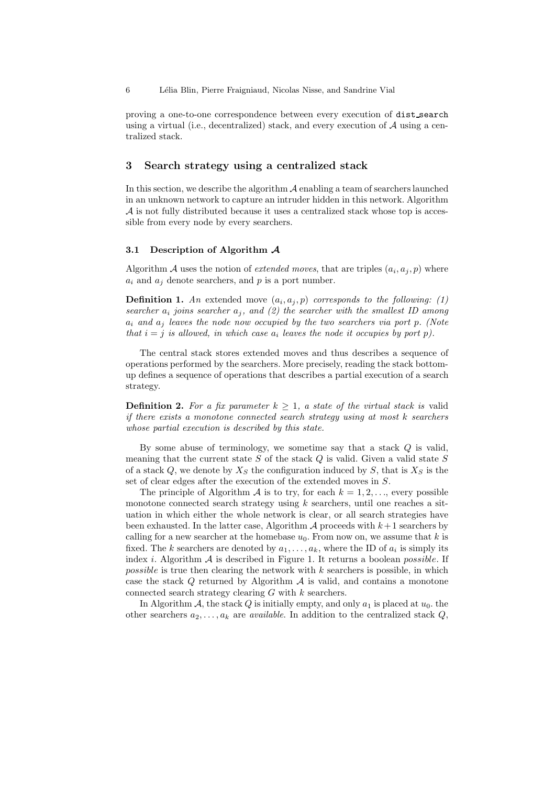proving a one-to-one correspondence between every execution of dist search using a virtual (i.e., decentralized) stack, and every execution of  $A$  using a centralized stack.

## 3 Search strategy using a centralized stack

In this section, we describe the algorithm  $A$  enabling a team of searchers launched in an unknown network to capture an intruder hidden in this network. Algorithm A is not fully distributed because it uses a centralized stack whose top is accessible from every node by every searchers.

#### 3.1 Description of Algorithm  $A$

Algorithm  $A$  uses the notion of *extended moves*, that are triples  $(a_i, a_j, p)$  where  $a_i$  and  $a_j$  denote searchers, and p is a port number.

**Definition 1.** An extended move  $(a_i, a_j, p)$  corresponds to the following: (1) searcher  $a_i$  joins searcher  $a_j$ , and (2) the searcher with the smallest ID among  $a_i$  and  $a_j$  leaves the node now occupied by the two searchers via port p. (Note that  $i = j$  is allowed, in which case  $a_i$  leaves the node it occupies by port p).

The central stack stores extended moves and thus describes a sequence of operations performed by the searchers. More precisely, reading the stack bottomup defines a sequence of operations that describes a partial execution of a search strategy.

**Definition 2.** For a fix parameter  $k \geq 1$ , a state of the virtual stack is valid if there exists a monotone connected search strategy using at most k searchers whose partial execution is described by this state.

By some abuse of terminology, we sometime say that a stack  $Q$  is valid, meaning that the current state  $S$  of the stack  $Q$  is valid. Given a valid state  $S$ of a stack Q, we denote by  $X_S$  the configuration induced by S, that is  $X_S$  is the set of clear edges after the execution of the extended moves in S.

The principle of Algorithm  $A$  is to try, for each  $k = 1, 2, \ldots$ , every possible monotone connected search strategy using  $k$  searchers, until one reaches a situation in which either the whole network is clear, or all search strategies have been exhausted. In the latter case, Algorithm  $\mathcal A$  proceeds with  $k+1$  searchers by calling for a new searcher at the homebase  $u_0$ . From now on, we assume that k is fixed. The k searchers are denoted by  $a_1, \ldots, a_k$ , where the ID of  $a_i$  is simply its index i. Algorithm  $A$  is described in Figure 1. It returns a boolean *possible*. If possible is true then clearing the network with  $k$  searchers is possible, in which case the stack  $Q$  returned by Algorithm  $A$  is valid, and contains a monotone connected search strategy clearing  $G$  with  $k$  searchers.

In Algorithm A, the stack Q is initially empty, and only  $a_1$  is placed at  $u_0$ , the other searchers  $a_2, \ldots, a_k$  are *available*. In addition to the centralized stack  $Q$ ,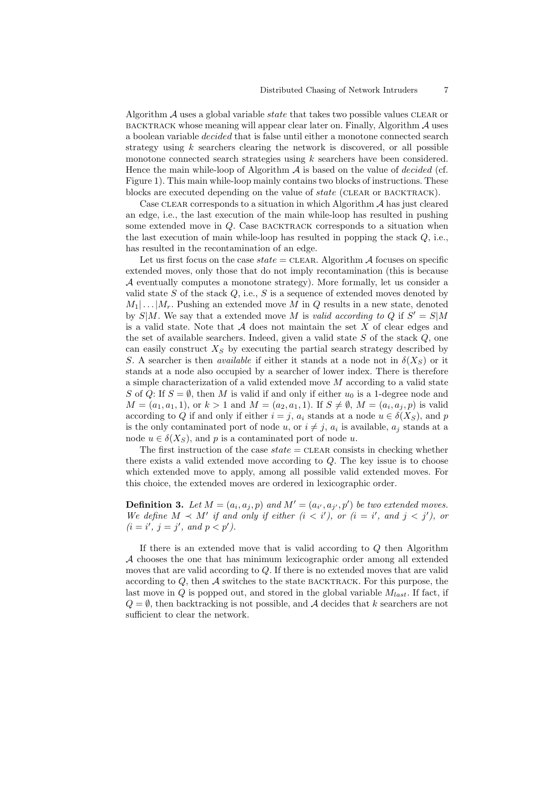Algorithm  $\mathcal A$  uses a global variable *state* that takes two possible values CLEAR or  $BACKTRACK$  whose meaning will appear clear later on. Finally, Algorithm  $A$  uses a boolean variable decided that is false until either a monotone connected search strategy using  $k$  searchers clearing the network is discovered, or all possible monotone connected search strategies using  $k$  searchers have been considered. Hence the main while-loop of Algorithm  $A$  is based on the value of *decided* (cf. Figure 1). This main while-loop mainly contains two blocks of instructions. These blocks are executed depending on the value of *state* (CLEAR or BACKTRACK).

Case CLEAR corresponds to a situation in which Algorithm  $A$  has just cleared an edge, i.e., the last execution of the main while-loop has resulted in pushing some extended move in Q. Case BACKTRACK corresponds to a situation when the last execution of main while-loop has resulted in popping the stack  $Q$ , i.e., has resulted in the recontamination of an edge.

Let us first focus on the case  $state =$  CLEAR. Algorithm A focuses on specific extended moves, only those that do not imply recontamination (this is because  $\mathcal A$  eventually computes a monotone strategy). More formally, let us consider a valid state  $S$  of the stack  $Q$ , i.e.,  $S$  is a sequence of extended moves denoted by  $M_1 | \dots | M_r$ . Pushing an extended move M in Q results in a new state, denoted by  $S|M$ . We say that a extended move M is valid according to Q if  $S' = S|M$ is a valid state. Note that  $A$  does not maintain the set X of clear edges and the set of available searchers. Indeed, given a valid state  $S$  of the stack  $Q$ , one can easily construct  $X<sub>S</sub>$  by executing the partial search strategy described by S. A searcher is then *available* if either it stands at a node not in  $\delta(X_S)$  or it stands at a node also occupied by a searcher of lower index. There is therefore a simple characterization of a valid extended move  $M$  according to a valid state S of Q: If  $S = \emptyset$ , then M is valid if and only if either  $u_0$  is a 1-degree node and  $M = (a_1, a_1, 1)$ , or  $k > 1$  and  $M = (a_2, a_1, 1)$ . If  $S \neq \emptyset$ ,  $M = (a_i, a_j, p)$  is valid according to Q if and only if either  $i = j$ ,  $a_i$  stands at a node  $u \in \delta(X_S)$ , and p is the only contaminated port of node u, or  $i \neq j$ ,  $a_i$  is available,  $a_j$  stands at a node  $u \in \delta(X_S)$ , and p is a contaminated port of node u.

The first instruction of the case  $state = \text{CLEAR}$  consists in checking whether there exists a valid extended move according to  $Q$ . The key issue is to choose which extended move to apply, among all possible valid extended moves. For this choice, the extended moves are ordered in lexicographic order.

**Definition 3.** Let  $M = (a_i, a_j, p)$  and  $M' = (a_{i'}, a_{j'}, p')$  be two extended moves. We define  $M \prec M'$  if and only if either  $(i < i')$ , or  $(i = i'$ , and  $j < j'$ ), or  $(i = i', j = j', and p < p').$ 

If there is an extended move that is valid according to Q then Algorithm A chooses the one that has minimum lexicographic order among all extended moves that are valid according to Q. If there is no extended moves that are valid according to  $Q$ , then  $A$  switches to the state BACKTRACK. For this purpose, the last move in  $Q$  is popped out, and stored in the global variable  $M_{last}$ . If fact, if  $Q = \emptyset$ , then backtracking is not possible, and A decides that k searchers are not sufficient to clear the network.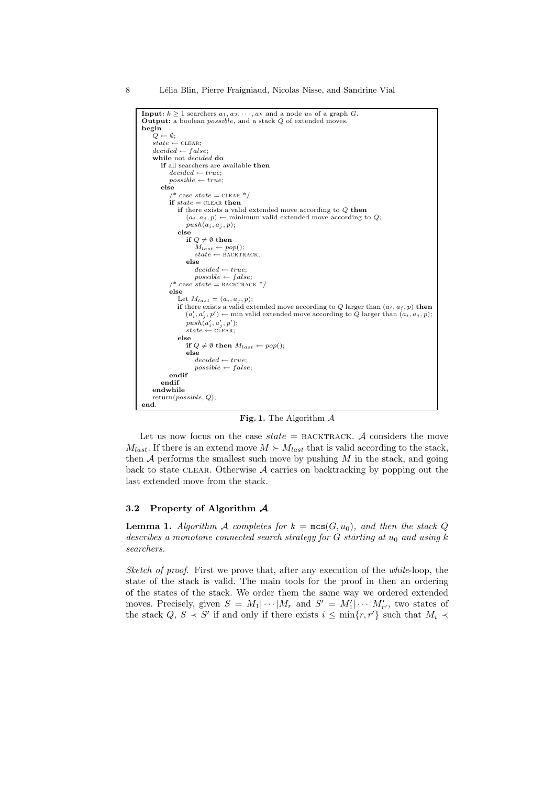

Fig. 1. The Algorithm  $A$ 

Let us now focus on the case  $state = BACKTRACK$ . A considers the move  $M_{last}$ . If there is an extend move  $M \succ M_{last}$  that is valid according to the stack, then  $A$  performs the smallest such move by pushing  $M$  in the stack, and going back to state CLEAR. Otherwise  $A$  carries on backtracking by popping out the last extended move from the stack.

## 3.2 Property of Algorithm A

**Lemma 1.** Algorithm A completes for  $k = \text{mcs}(G, u_0)$ , and then the stack Q describes a monotone connected search strategy for  $G$  starting at  $u_0$  and using k searchers.

Sketch of proof. First we prove that, after any execution of the *while-loop*, the state of the stack is valid. The main tools for the proof in then an ordering of the states of the stack. We order them the same way we ordered extended moves. Precisely, given  $S = M_1 | \cdots | M_r$  and  $S' = M'_1 | \cdots | M'_{r'}$ , two states of the stack  $Q, S \prec S'$  if and only if there exists  $i \leq \min\{r, r'\}$  such that  $M_i \prec$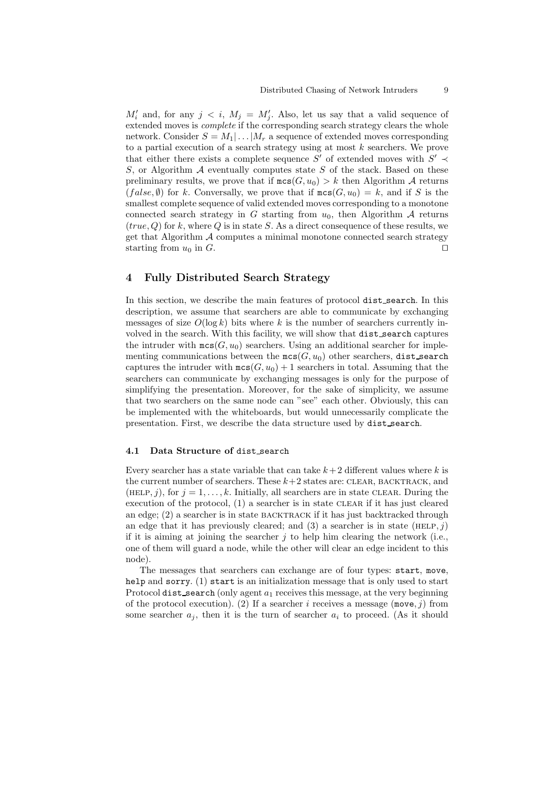$M'_i$  and, for any  $j \leq i$ ,  $M_j = M'_j$ . Also, let us say that a valid sequence of extended moves is *complete* if the corresponding search strategy clears the whole network. Consider  $S = M_1 | \dots | M_r$  a sequence of extended moves corresponding to a partial execution of a search strategy using at most k searchers. We prove that either there exists a complete sequence  $S'$  of extended moves with  $S' \prec$ S, or Algorithm A eventually computes state S of the stack. Based on these preliminary results, we prove that if  $\text{mcs}(G, u_0) > k$  then Algorithm A returns  $(false, \emptyset)$  for k. Conversally, we prove that if  $mcs(G, u_0) = k$ , and if S is the smallest complete sequence of valid extended moves corresponding to a monotone connected search strategy in G starting from  $u_0$ , then Algorithm  $A$  returns  $(true, Q)$  for k, where Q is in state S. As a direct consequence of these results, we get that Algorithm A computes a minimal monotone connected search strategy<br>starting from  $u_0$  in  $G$ . starting from  $u_0$  in  $G$ .

## 4 Fully Distributed Search Strategy

In this section, we describe the main features of protocol dist\_search. In this description, we assume that searchers are able to communicate by exchanging messages of size  $O(\log k)$  bits where k is the number of searchers currently involved in the search. With this facility, we will show that dist search captures the intruder with  $\text{mcs}(G, u_0)$  searchers. Using an additional searcher for implementing communications between the  $\mathtt{mcs}(G, u_0)$  other searchers, dist search captures the intruder with  $\mathsf{mcs}(G, u_0) + 1$  searchers in total. Assuming that the searchers can communicate by exchanging messages is only for the purpose of simplifying the presentation. Moreover, for the sake of simplicity, we assume that two searchers on the same node can "see" each other. Obviously, this can be implemented with the whiteboards, but would unnecessarily complicate the presentation. First, we describe the data structure used by dist search.

#### 4.1 Data Structure of dist search

Every searcher has a state variable that can take  $k+2$  different values where k is the current number of searchers. These  $k+2$  states are: CLEAR, BACKTRACK, and (HELP, j), for  $j = 1, ..., k$ . Initially, all searchers are in state CLEAR. During the execution of the protocol,  $(1)$  a searcher is in state CLEAR if it has just cleared an edge; (2) a searcher is in state backtrack if it has just backtracked through an edge that it has previously cleared; and (3) a searcher is in state (HELP,  $j$ ) if it is aiming at joining the searcher  $j$  to help him clearing the network (i.e., one of them will guard a node, while the other will clear an edge incident to this node).

The messages that searchers can exchange are of four types: start, move, help and sorry. (1) start is an initialization message that is only used to start Protocol dist search (only agent  $a_1$  receives this message, at the very beginning of the protocol execution). (2) If a searcher i receives a message (move, j) from some searcher  $a_i$ , then it is the turn of searcher  $a_i$  to proceed. (As it should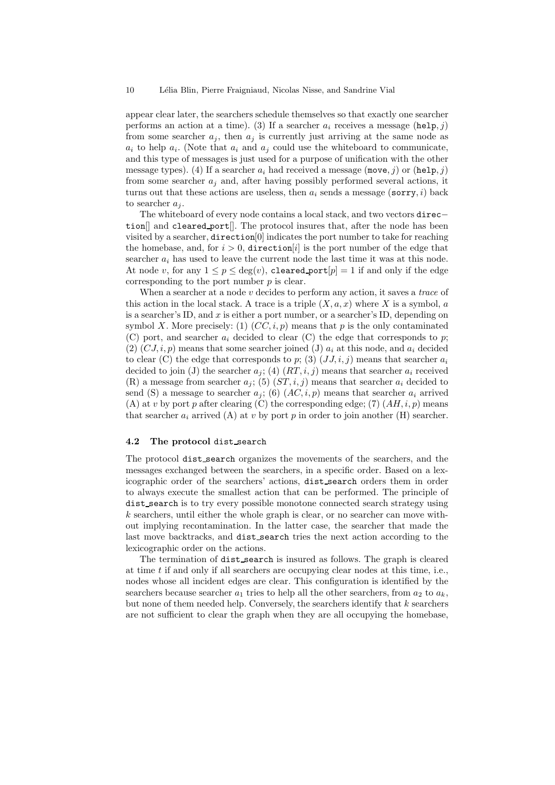appear clear later, the searchers schedule themselves so that exactly one searcher performs an action at a time). (3) If a searcher  $a_i$  receives a message (help, j) from some searcher  $a_j$ , then  $a_j$  is currently just arriving at the same node as  $a_i$  to help  $a_i$ . (Note that  $a_i$  and  $a_j$  could use the whiteboard to communicate, and this type of messages is just used for a purpose of unification with the other message types). (4) If a searcher  $a_i$  had received a message (move, j) or (help, j) from some searcher  $a_i$  and, after having possibly performed several actions, it turns out that these actions are useless, then  $a_i$  sends a message (sorry, i) back to searcher  $a_i$ .

The whiteboard of every node contains a local stack, and two vectors direc− tion<sup>[]</sup> and cleared\_port<sup>[]</sup>. The protocol insures that, after the node has been visited by a searcher,  $\text{direction}[0]$  indicates the port number to take for reaching the homebase, and, for  $i > 0$ , direction is the port number of the edge that searcher  $a_i$  has used to leave the current node the last time it was at this node. At node v, for any  $1 \leq p \leq \deg(v)$ , cleared port $[p] = 1$  if and only if the edge corresponding to the port number  $p$  is clear.

When a searcher at a node  $v$  decides to perform any action, it saves a *trace* of this action in the local stack. A trace is a triple  $(X, a, x)$  where X is a symbol, a is a searcher's ID, and  $x$  is either a port number, or a searcher's ID, depending on symbol X. More precisely: (1)  $(CC, i, p)$  means that p is the only contaminated (C) port, and searcher  $a_i$  decided to clear (C) the edge that corresponds to p; (2)  $(CJ, i, p)$  means that some searcher joined (J)  $a_i$  at this node, and  $a_i$  decided to clear (C) the edge that corresponds to p; (3)  $(JJ, i, j)$  means that searcher  $a_i$ decided to join (J) the searcher  $a_i$ ; (4)  $(RT, i, j)$  means that searcher  $a_i$  received (R) a message from searcher  $a_j$ ; (5)  $(ST, i, j)$  means that searcher  $a_i$  decided to send (S) a message to searcher  $a_i$ ; (6)  $(AC, i, p)$  means that searcher  $a_i$  arrived (A) at v by port p after clearing (C) the corresponding edge; (7)  $(AH, i, p)$  means that searcher  $a_i$  arrived (A) at v by port p in order to join another (H) searcher.

#### 4.2 The protocol dist search

The protocol dist search organizes the movements of the searchers, and the messages exchanged between the searchers, in a specific order. Based on a lexicographic order of the searchers' actions, dist search orders them in order to always execute the smallest action that can be performed. The principle of dist search is to try every possible monotone connected search strategy using  $k$  searchers, until either the whole graph is clear, or no searcher can move without implying recontamination. In the latter case, the searcher that made the last move backtracks, and dist search tries the next action according to the lexicographic order on the actions.

The termination of dist search is insured as follows. The graph is cleared at time  $t$  if and only if all searchers are occupying clear nodes at this time, i.e., nodes whose all incident edges are clear. This configuration is identified by the searchers because searcher  $a_1$  tries to help all the other searchers, from  $a_2$  to  $a_k$ , but none of them needed help. Conversely, the searchers identify that k searchers are not sufficient to clear the graph when they are all occupying the homebase,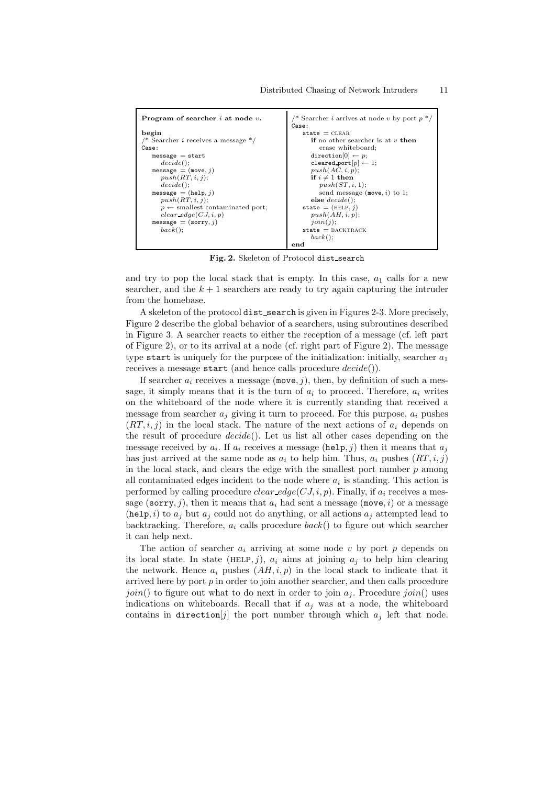```
Program of searcher i at node v.
begin
/* Searcher i receives a message */Case:
    message = startdecide();
    message = (move, j)push(RT, i, j);decide();
    message = (help, j)<br>push(RT, i, j);
        p \leftarrow smallest contaminated port;<br>clear_edge(CJ, i, p)
    message = (sorry, j)
       back();<sup>*</sup> Searcher i arrives at node v by port p<sup>*</sup>/
                                                          Case:
                                                              state = CLEARif no other searcher is at v then
                                                                     erase whiteboard;
                                                                  direction[0] \leftarrow p;<br>cleared_port[p] \leftarrow 1;<br>push(AC, i, p);if i \neq 1 then
                                                                     push(ST, i, 1);send message (\text{move}, i) to 1;
                                                                  else decide();
                                                               state = (HELP, i)
                                                                  push(AH, i, p);join(j);state = BACKTRACKback();end
```
Fig. 2. Skeleton of Protocol dist search

and try to pop the local stack that is empty. In this case,  $a_1$  calls for a new searcher, and the  $k + 1$  searchers are ready to try again capturing the intruder from the homebase.

A skeleton of the protocol dist search is given in Figures 2-3. More precisely, Figure 2 describe the global behavior of a searchers, using subroutines described in Figure 3. A searcher reacts to either the reception of a message (cf. left part of Figure 2), or to its arrival at a node (cf. right part of Figure 2). The message type start is uniquely for the purpose of the initialization: initially, searcher  $a_1$ receives a message start (and hence calls procedure  $decide()$ ).

If searcher  $a_i$  receives a message (move, j), then, by definition of such a message, it simply means that it is the turn of  $a_i$  to proceed. Therefore,  $a_i$  writes on the whiteboard of the node where it is currently standing that received a message from searcher  $a_i$  giving it turn to proceed. For this purpose,  $a_i$  pushes  $(RT, i, j)$  in the local stack. The nature of the next actions of  $a_i$  depends on the result of procedure  $decide()$ . Let us list all other cases depending on the message received by  $a_i$ . If  $a_i$  receives a message (help, j) then it means that  $a_j$ has just arrived at the same node as  $a_i$  to help him. Thus,  $a_i$  pushes  $(RT, i, j)$ in the local stack, and clears the edge with the smallest port number  $p$  among all contaminated edges incident to the node where  $a_i$  is standing. This action is performed by calling procedure *clear edge*( $CJ$ , *i*, *p*). Finally, if  $a_i$  receives a message (sorry, j), then it means that  $a_i$  had sent a message (move, i) or a message (help, i) to  $a_j$  but  $a_j$  could not do anything, or all actions  $a_j$  attempted lead to backtracking. Therefore,  $a_i$  calls procedure  $back()$  to figure out which searcher it can help next.

The action of searcher  $a_i$  arriving at some node v by port p depends on its local state. In state (HELP, j),  $a_i$  aims at joining  $a_j$  to help him clearing the network. Hence  $a_i$  pushes  $(AH, i, p)$  in the local stack to indicate that it arrived here by port  $p$  in order to join another searcher, and then calls procedure *join*() to figure out what to do next in order to join  $a_j$ . Procedure *join*() uses indications on whiteboards. Recall that if  $a_i$  was at a node, the whiteboard contains in direction j the port number through which  $a_i$  left that node.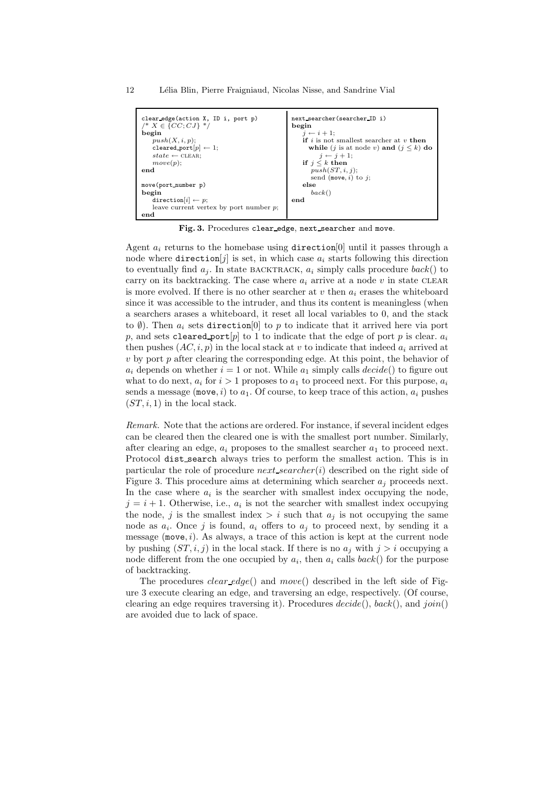12 Lélia Blin, Pierre Fraigniaud, Nicolas Nisse, and Sandrine Vial



Fig. 3. Procedures clear\_edge, next\_searcher and move.

Agent  $a_i$  returns to the homebase using direction<sup>[0]</sup> until it passes through a node where direction  $j$  is set, in which case  $a_i$  starts following this direction to eventually find  $a_j$ . In state BACKTRACK,  $a_i$  simply calls procedure  $back()$  to carry on its backtracking. The case where  $a_i$  arrive at a node v in state CLEAR is more evolved. If there is no other searcher at v then  $a_i$  erases the whiteboard since it was accessible to the intruder, and thus its content is meaningless (when a searchers arases a whiteboard, it reset all local variables to 0, and the stack to  $\emptyset$ ). Then  $a_i$  sets direction [0] to p to indicate that it arrived here via port p, and sets cleared port  $[p]$  to 1 to indicate that the edge of port p is clear.  $a_i$ then pushes  $(AC, i, p)$  in the local stack at v to indicate that indeed  $a_i$  arrived at  $v$  by port  $p$  after clearing the corresponding edge. At this point, the behavior of  $a_i$  depends on whether  $i = 1$  or not. While  $a_1$  simply calls  $decide()$  to figure out what to do next,  $a_i$  for  $i > 1$  proposes to  $a_1$  to proceed next. For this purpose,  $a_i$ sends a message (move, i) to  $a_1$ . Of course, to keep trace of this action,  $a_i$  pushes  $(ST, i, 1)$  in the local stack.

Remark. Note that the actions are ordered. For instance, if several incident edges can be cleared then the cleared one is with the smallest port number. Similarly, after clearing an edge,  $a_i$  proposes to the smallest searcher  $a_1$  to proceed next. Protocol dist search always tries to perform the smallest action. This is in particular the role of procedure *next searcher(i)* described on the right side of Figure 3. This procedure aims at determining which searcher  $a_i$  proceeds next. In the case where  $a_i$  is the searcher with smallest index occupying the node,  $j = i + 1$ . Otherwise, i.e.,  $a_i$  is not the searcher with smallest index occupying the node, j is the smallest index  $> i$  such that  $a_i$  is not occupying the same node as  $a_i$ . Once j is found,  $a_i$  offers to  $a_j$  to proceed next, by sending it a message (move,  $i$ ). As always, a trace of this action is kept at the current node by pushing  $(ST, i, j)$  in the local stack. If there is no  $a_i$  with  $j > i$  occupying a node different from the one occupied by  $a_i$ , then  $a_i$  calls  $back()$  for the purpose of backtracking.

The procedures  $clear\_edge()$  and  $move()$  described in the left side of Figure 3 execute clearing an edge, and traversing an edge, respectively. (Of course, clearing an edge requires traversing it). Procedures  $decide()$ , back(), and join() are avoided due to lack of space.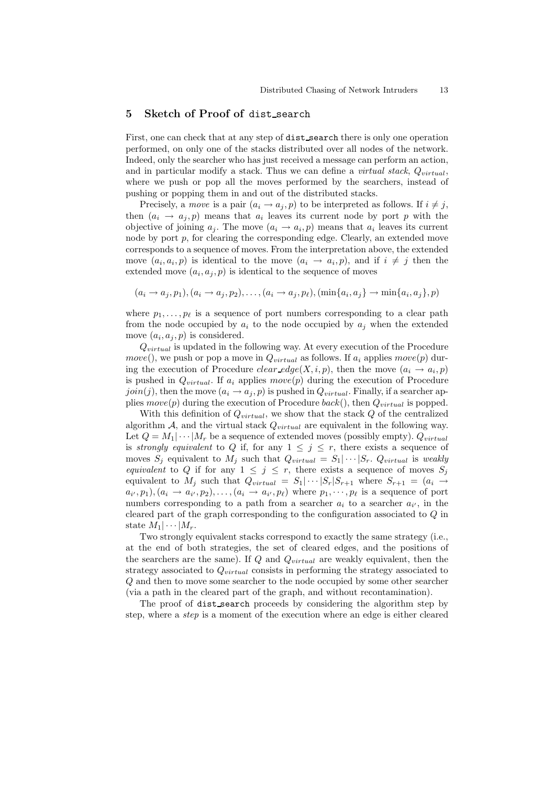## 5 Sketch of Proof of dist search

First, one can check that at any step of dist search there is only one operation performed, on only one of the stacks distributed over all nodes of the network. Indeed, only the searcher who has just received a message can perform an action, and in particular modify a stack. Thus we can define a *virtual stack*,  $Q_{virtual}$ , where we push or pop all the moves performed by the searchers, instead of pushing or popping them in and out of the distributed stacks.

Precisely, a move is a pair  $(a_i \rightarrow a_j, p)$  to be interpreted as follows. If  $i \neq j$ , then  $(a_i \rightarrow a_j, p)$  means that  $a_i$  leaves its current node by port p with the objective of joining  $a_j$ . The move  $(a_i \rightarrow a_i, p)$  means that  $a_i$  leaves its current node by port  $p$ , for clearing the corresponding edge. Clearly, an extended move corresponds to a sequence of moves. From the interpretation above, the extended move  $(a_i, a_i, p)$  is identical to the move  $(a_i \rightarrow a_i, p)$ , and if  $i \neq j$  then the extended move  $(a_i, a_j, p)$  is identical to the sequence of moves

$$
(a_i \rightarrow a_j, p_1), (a_i \rightarrow a_j, p_2), \ldots, (a_i \rightarrow a_j, p_\ell), (\min\{a_i, a_j\} \rightarrow \min\{a_i, a_j\}, p)
$$

where  $p_1, \ldots, p_\ell$  is a sequence of port numbers corresponding to a clear path from the node occupied by  $a_i$  to the node occupied by  $a_j$  when the extended move  $(a_i, a_j, p)$  is considered.

 $Q_{virtual}$  is updated in the following way. At every execution of the Procedure move(), we push or pop a move in  $Q_{virtual}$  as follows. If  $a_i$  applies move(p) during the execution of Procedure *clear edge*( $X, i, p$ ), then the move  $(a_i \rightarrow a_i, p)$ is pushed in  $Q_{virtual}$ . If  $a_i$  applies  $move(p)$  during the execution of Procedure join(j), then the move  $(a_i \rightarrow a_j, p)$  is pushed in  $Q_{virtual}$ . Finally, if a searcher applies  $move(p)$  during the execution of Procedure back(), then  $Q_{virtual}$  is popped.

With this definition of  $Q_{virtual}$ , we show that the stack  $Q$  of the centralized algorithm A, and the virtual stack  $Q_{virtual}$  are equivalent in the following way. Let  $Q = M_1 \cdots M_r$  be a sequence of extended moves (possibly empty).  $Q_{virtual}$ is strongly equivalent to Q if, for any  $1 \leq j \leq r$ , there exists a sequence of moves  $S_j$  equivalent to  $M_j$  such that  $Q_{virtual} = S_1 | \cdots | S_r$ .  $Q_{virtual}$  is weakly equivalent to Q if for any  $1 \leq j \leq r$ , there exists a sequence of moves  $S_j$ equivalent to  $M_j$  such that  $Q_{virtual} = S_1 | \cdots | S_r | S_{r+1}$  where  $S_{r+1} = (a_i \rightarrow a_j)$  $(a_{i'}, p_1), (a_i \rightarrow a_{i'}, p_2), \ldots, (a_i \rightarrow a_{i'}, p_\ell)$  where  $p_1, \ldots, p_\ell$  is a sequence of port numbers corresponding to a path from a searcher  $a_i$  to a searcher  $a_{i'}$ , in the cleared part of the graph corresponding to the configuration associated to Q in state  $M_1 | \cdots | M_r$ .

Two strongly equivalent stacks correspond to exactly the same strategy (i.e., at the end of both strategies, the set of cleared edges, and the positions of the searchers are the same). If  $Q$  and  $Q_{virtual}$  are weakly equivalent, then the strategy associated to  $Q_{virtual}$  consists in performing the strategy associated to Q and then to move some searcher to the node occupied by some other searcher (via a path in the cleared part of the graph, and without recontamination).

The proof of dist\_search proceeds by considering the algorithm step by step, where a step is a moment of the execution where an edge is either cleared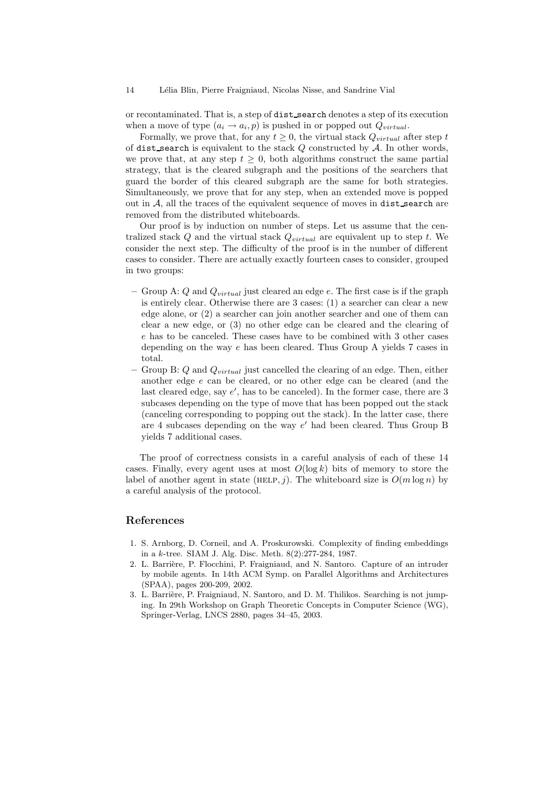or recontaminated. That is, a step of dist search denotes a step of its execution when a move of type  $(a_i \rightarrow a_i, p)$  is pushed in or popped out  $Q_{virtual}$ .

Formally, we prove that, for any  $t \geq 0$ , the virtual stack  $Q_{virtual}$  after step t of dist search is equivalent to the stack  $Q$  constructed by  $A$ . In other words, we prove that, at any step  $t > 0$ , both algorithms construct the same partial strategy, that is the cleared subgraph and the positions of the searchers that guard the border of this cleared subgraph are the same for both strategies. Simultaneously, we prove that for any step, when an extended move is popped out in  $A$ , all the traces of the equivalent sequence of moves in dist search are removed from the distributed whiteboards.

Our proof is by induction on number of steps. Let us assume that the centralized stack  $Q$  and the virtual stack  $Q_{virtual}$  are equivalent up to step t. We consider the next step. The difficulty of the proof is in the number of different cases to consider. There are actually exactly fourteen cases to consider, grouped in two groups:

- Group A: Q and  $Q_{virtual}$  just cleared an edge e. The first case is if the graph is entirely clear. Otherwise there are 3 cases: (1) a searcher can clear a new edge alone, or (2) a searcher can join another searcher and one of them can clear a new edge, or (3) no other edge can be cleared and the clearing of e has to be canceled. These cases have to be combined with 3 other cases depending on the way e has been cleared. Thus Group A yields 7 cases in total.
- Group B:  $Q$  and  $Q_{virtual}$  just cancelled the clearing of an edge. Then, either another edge e can be cleared, or no other edge can be cleared (and the last cleared edge, say  $e'$ , has to be canceled). In the former case, there are 3 subcases depending on the type of move that has been popped out the stack (canceling corresponding to popping out the stack). In the latter case, there are 4 subcases depending on the way  $e'$  had been cleared. Thus Group B yields 7 additional cases.

The proof of correctness consists in a careful analysis of each of these 14 cases. Finally, every agent uses at most  $O(\log k)$  bits of memory to store the label of another agent in state (HELP, j). The whiteboard size is  $O(m \log n)$  by a careful analysis of the protocol.

## References

- 1. S. Arnborg, D. Corneil, and A. Proskurowski. Complexity of finding embeddings in a k-tree. SIAM J. Alg. Disc. Meth. 8(2):277-284, 1987.
- 2. L. Barrière, P. Flocchini, P. Fraigniaud, and N. Santoro. Capture of an intruder by mobile agents. In 14th ACM Symp. on Parallel Algorithms and Architectures (SPAA), pages 200-209, 2002.
- 3. L. Barrière, P. Fraigniaud, N. Santoro, and D. M. Thilikos. Searching is not jumping. In 29th Workshop on Graph Theoretic Concepts in Computer Science (WG), Springer-Verlag, LNCS 2880, pages 34–45, 2003.